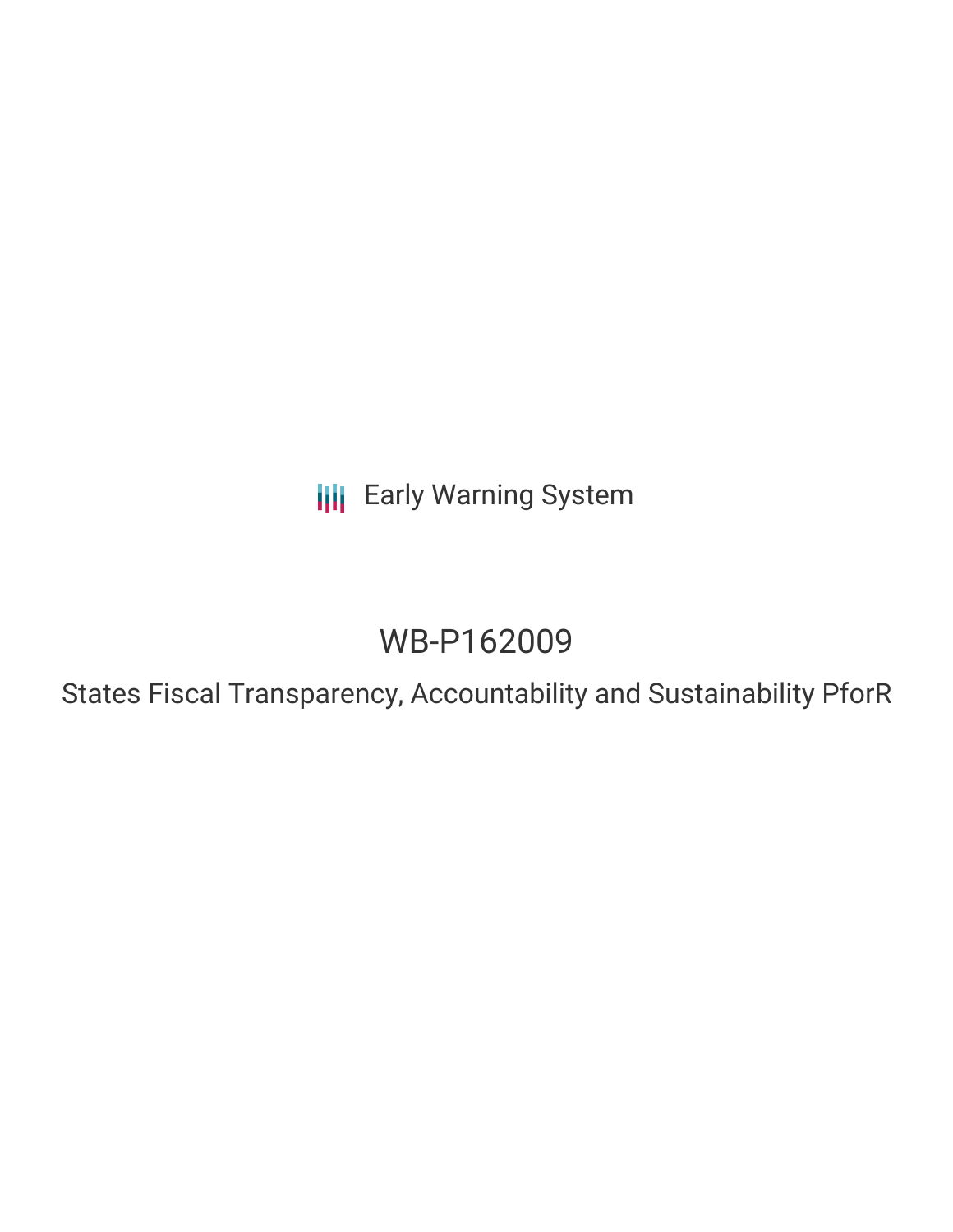**III** Early Warning System

# WB-P162009

States Fiscal Transparency, Accountability and Sustainability PforR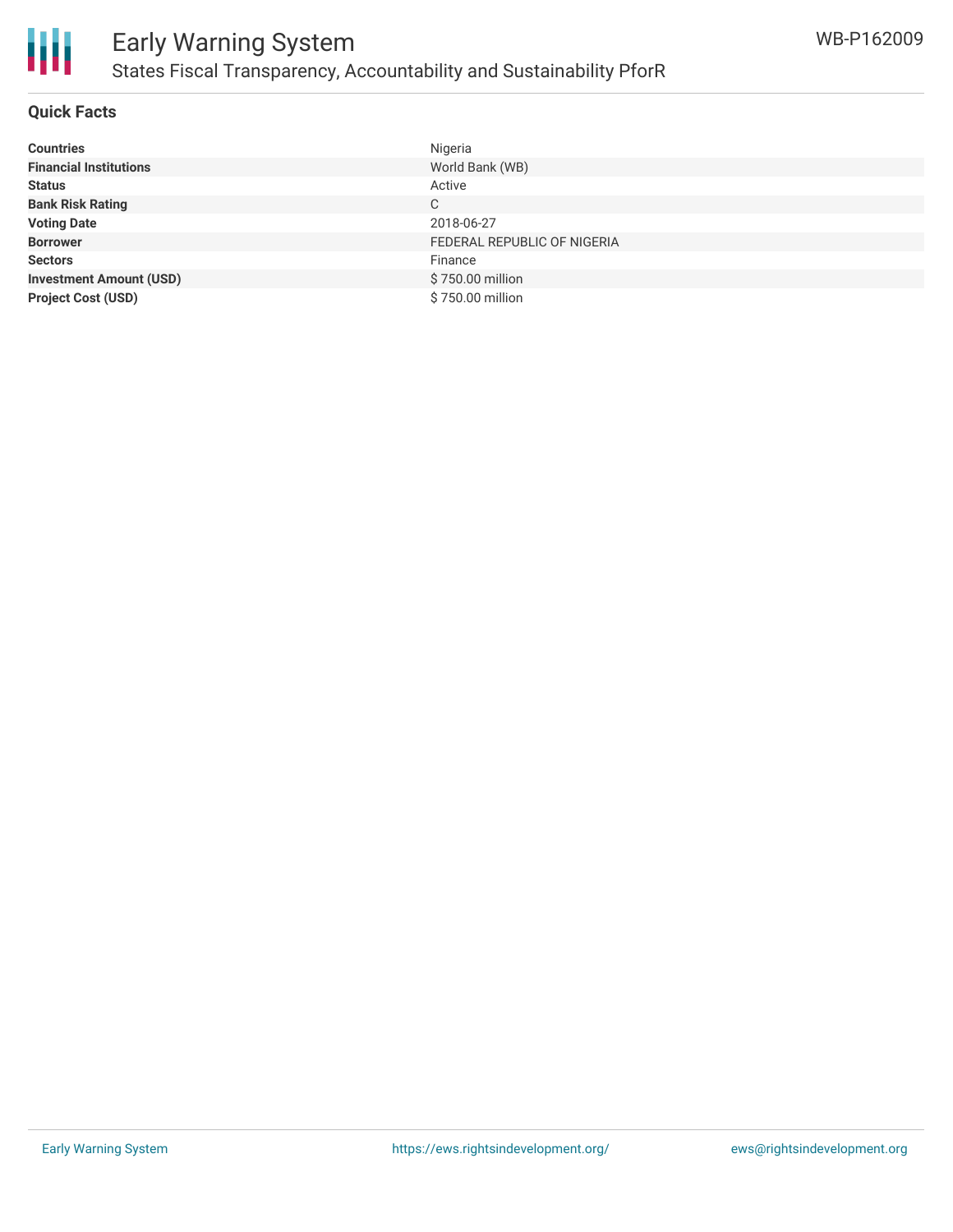

### **Quick Facts**

| <b>Countries</b>               | Nigeria                     |
|--------------------------------|-----------------------------|
| <b>Financial Institutions</b>  | World Bank (WB)             |
| <b>Status</b>                  | Active                      |
| <b>Bank Risk Rating</b>        | C                           |
| <b>Voting Date</b>             | 2018-06-27                  |
| <b>Borrower</b>                | FEDERAL REPUBLIC OF NIGERIA |
| <b>Sectors</b>                 | Finance                     |
| <b>Investment Amount (USD)</b> | \$750.00 million            |
| <b>Project Cost (USD)</b>      | \$750.00 million            |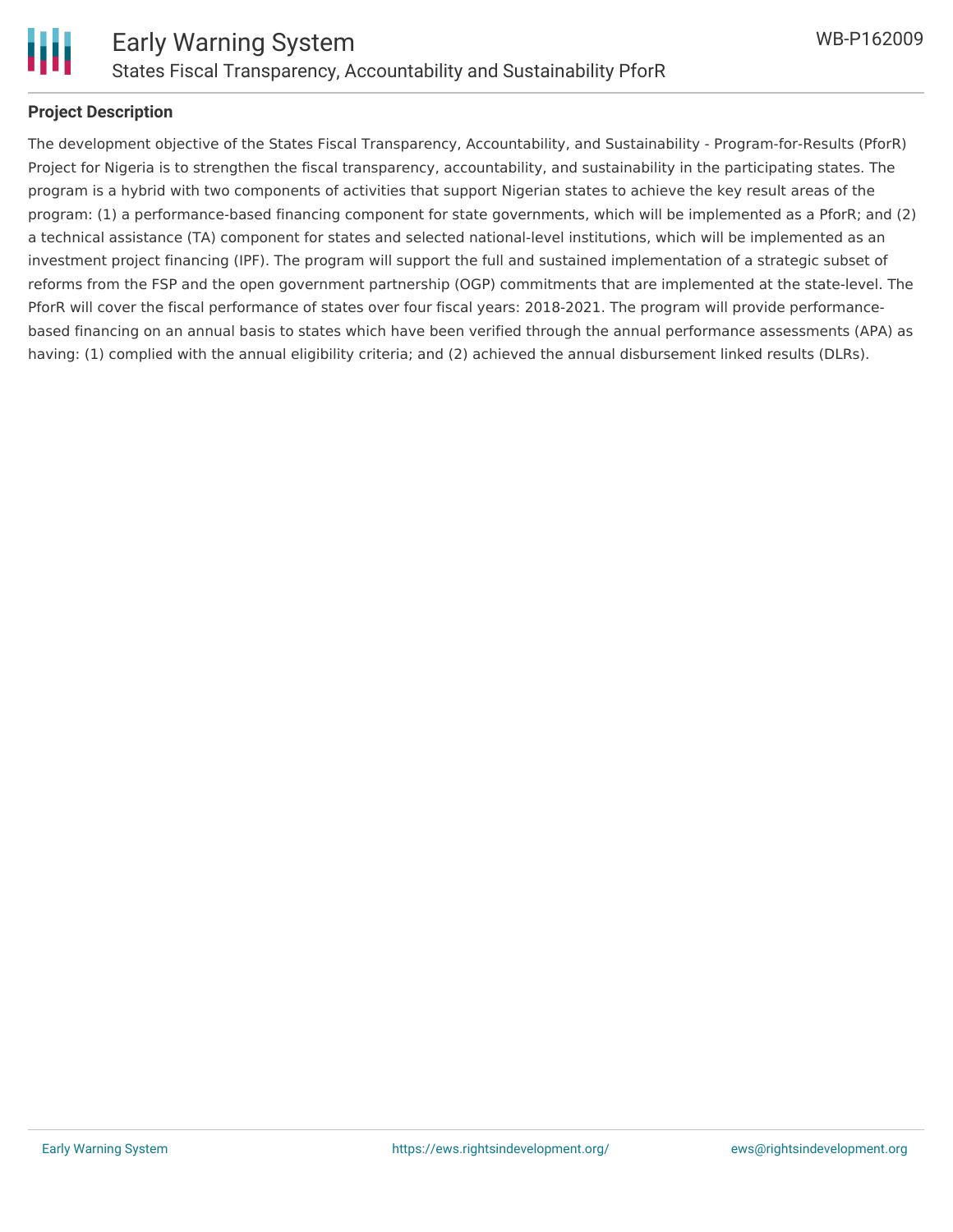

### **Project Description**

The development objective of the States Fiscal Transparency, Accountability, and Sustainability - Program-for-Results (PforR) Project for Nigeria is to strengthen the fiscal transparency, accountability, and sustainability in the participating states. The program is a hybrid with two components of activities that support Nigerian states to achieve the key result areas of the program: (1) a performance-based financing component for state governments, which will be implemented as a PforR; and (2) a technical assistance (TA) component for states and selected national-level institutions, which will be implemented as an investment project financing (IPF). The program will support the full and sustained implementation of a strategic subset of reforms from the FSP and the open government partnership (OGP) commitments that are implemented at the state-level. The PforR will cover the fiscal performance of states over four fiscal years: 2018-2021. The program will provide performancebased financing on an annual basis to states which have been verified through the annual performance assessments (APA) as having: (1) complied with the annual eligibility criteria; and (2) achieved the annual disbursement linked results (DLRs).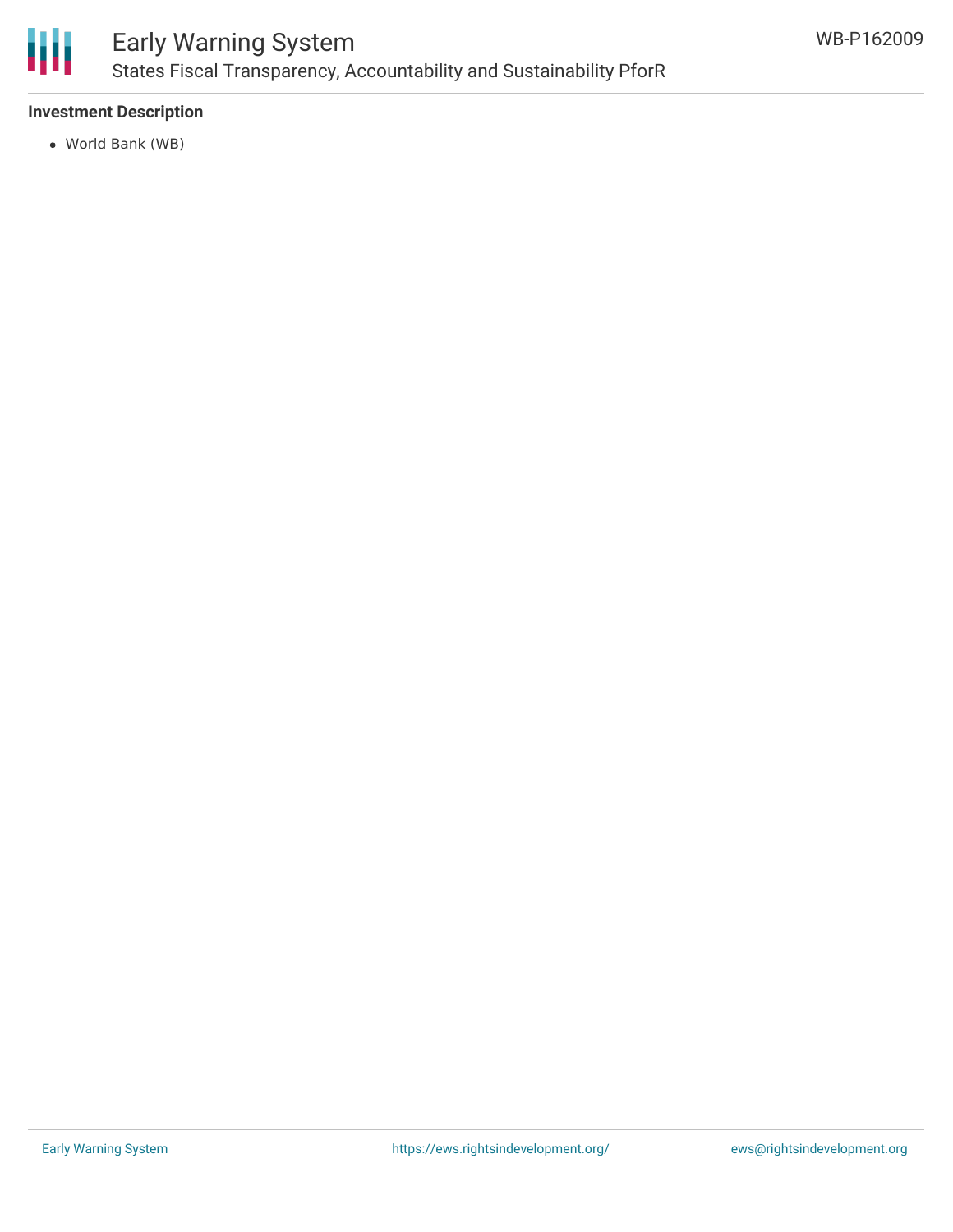

# Early Warning System States Fiscal Transparency, Accountability and Sustainability PforR

## **Investment Description**

World Bank (WB)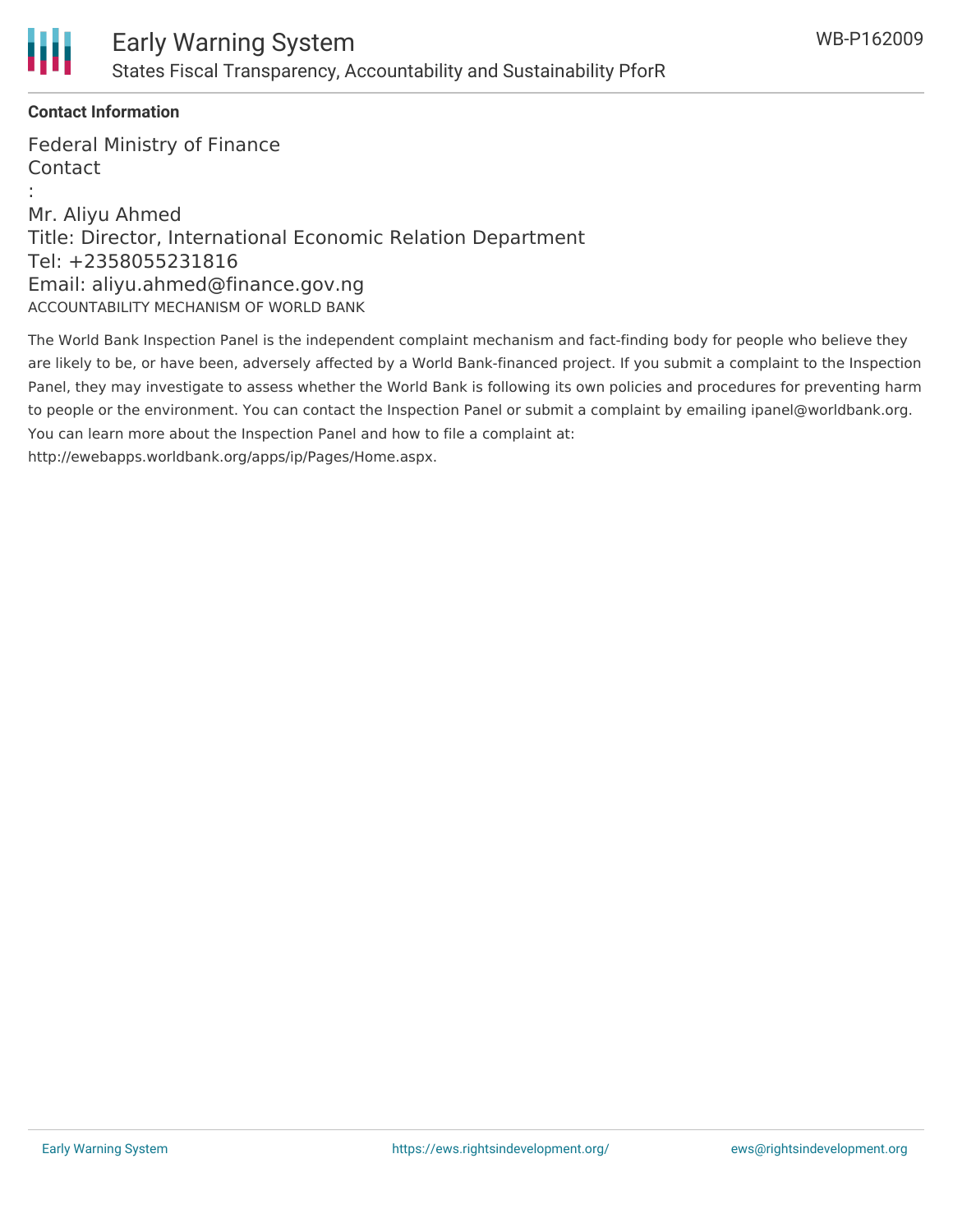

# **Contact Information**

Federal Ministry of Finance Contact :

Mr. Aliyu Ahmed Title: Director, International Economic Relation Department Tel: +2358055231816 Email: aliyu.ahmed@finance.gov.ng ACCOUNTABILITY MECHANISM OF WORLD BANK

The World Bank Inspection Panel is the independent complaint mechanism and fact-finding body for people who believe they are likely to be, or have been, adversely affected by a World Bank-financed project. If you submit a complaint to the Inspection Panel, they may investigate to assess whether the World Bank is following its own policies and procedures for preventing harm to people or the environment. You can contact the Inspection Panel or submit a complaint by emailing ipanel@worldbank.org. You can learn more about the Inspection Panel and how to file a complaint at: http://ewebapps.worldbank.org/apps/ip/Pages/Home.aspx.